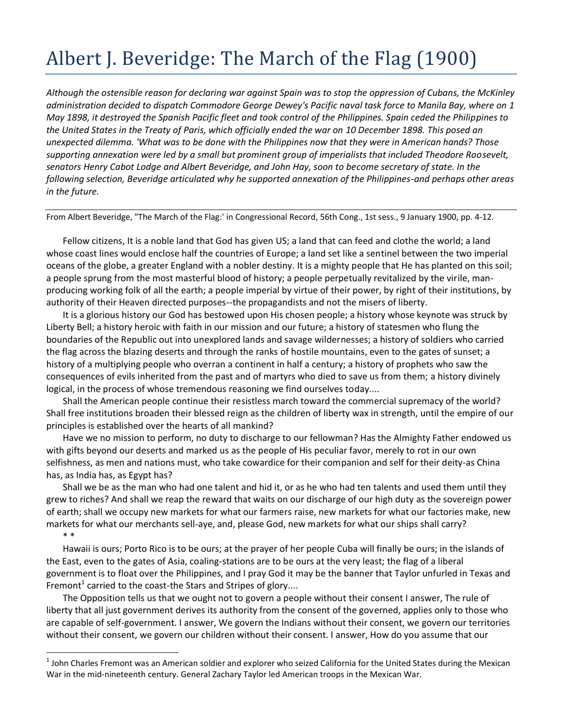## Albert J. Beveridge: The March of the Flag (1900)

*Although the ostensible reason for declaring war against Spain was to stop the oppression of Cubans, the McKinley administration decided to dispatch Commodore George Dewey's Pacific naval task force to Manila Bay, where on 1 May 1898, it destroyed the Spanish Pacific fleet and took control of the Philippines. Spain ceded the Philippines to the United States in the Treaty of Paris, which officially ended the war on 10 December 1898. This posed an unexpected dilemma. 'What was to be done with the Philippines now that they were in American hands? Those supporting annexation were led by a small but prominent group of imperialists that included Theodore Roosevelt, senators Henry Cabot Lodge and Albert Beveridge, and John Hay, soon to become secretary of state. In the following selection, Beveridge articulated why he supported annexation of the Philippines-and perhaps other areas in the future.* 

From Albert Beveridge, "The March of the Flag:' in Congressional Record, 56th Cong., 1st sess., 9 January 1900, pp. 4-12.

Fellow citizens, It is a noble land that God has given US; a land that can feed and clothe the world; a land whose coast lines would enclose half the countries of Europe; a land set like a sentinel between the two imperial oceans of the globe, a greater England with a nobler destiny. It is a mighty people that He has planted on this soil; a people sprung from the most masterful blood of history; a people perpetually revitalized by the virile, manproducing working folk of all the earth; a people imperial by virtue of their power, by right of their institutions, by authority of their Heaven directed purposes--the propagandists and not the misers of liberty.

It is a glorious history our God has bestowed upon His chosen people; a history whose keynote was struck by Liberty Bell; a history heroic with faith in our mission and our future; a history of statesmen who flung the boundaries of the Republic out into unexplored lands and savage wildernesses; a history of soldiers who carried the flag across the blazing deserts and through the ranks of hostile mountains, even to the gates of sunset; a history of a multiplying people who overran a continent in half a century; a history of prophets who saw the consequences of evils inherited from the past and of martyrs who died to save us from them; a history divinely logical, in the process of whose tremendous reasoning we find ourselves today....

Shall the American people continue their resistless march toward the commercial supremacy of the world? Shall free institutions broaden their blessed reign as the children of liberty wax in strength, until the empire of our principles is established over the hearts of all mankind?

Have we no mission to perform, no duty to discharge to our fellowman? Has the Almighty Father endowed us with gifts beyond our deserts and marked us as the people of His peculiar favor, merely to rot in our own selfishness, as men and nations must, who take cowardice for their companion and self for their deity-as China has, as India has, as Egypt has?

Shall we be as the man who had one talent and hid it, or as he who had ten talents and used them until they grew to riches? And shall we reap the reward that waits on our discharge of our high duty as the sovereign power of earth; shall we occupy new markets for what our farmers raise, new markets for what our factories make, new markets for what our merchants sell-aye, and, please God, new markets for what our ships shall carry?

\* \*

1

Hawaii is ours; Porto Rico is to be ours; at the prayer of her people Cuba will finally be ours; in the islands of the East, even to the gates of Asia, coaling-stations are to be ours at the very least; the flag of a liberal government is to float over the Philippines, and I pray God it may be the banner that Taylor unfurled in Texas and Fremont<sup>1</sup> carried to the coast-the Stars and Stripes of glory....

The Opposition tells us that we ought not to govern a people without their consent I answer, The rule of liberty that all just government derives its authority from the consent of the governed, applies only to those who are capable of self-government. I answer, We govern the Indians without their consent, we govern our territories without their consent, we govern our children without their consent. I answer, How do you assume that our

 $^1$  John Charles Fremont was an American soldier and explorer who seized California for the United States during the Mexican War in the mid-nineteenth century. General Zachary Taylor led American troops in the Mexican War.